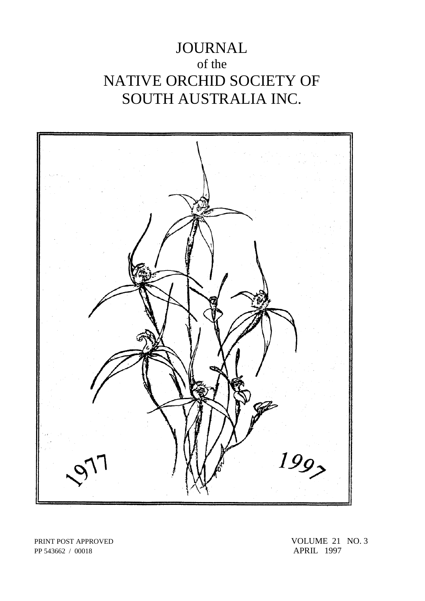# JOURNAL of the NATIVE ORCHID SOCIETY OF SOUTH AUSTRALIA INC.



PP 543662 / 00018

PRINT POST APPROVED<br>
PP 543662 / 00018<br>
PP 543662 / 00018<br>
APRIL 1997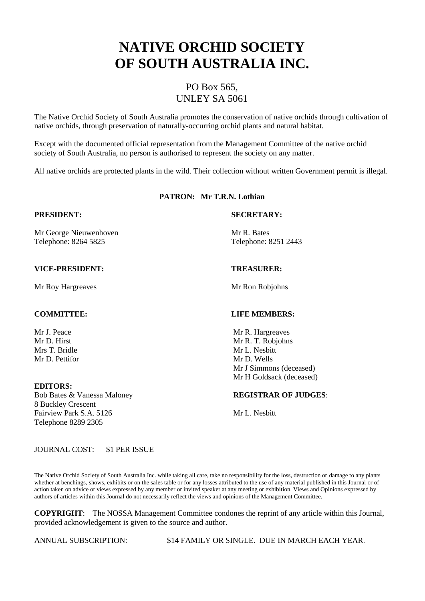# **NATIVE ORCHID SOCIETY OF SOUTH AUSTRALIA INC.**

### PO Box 565, UNLEY SA 5061

The Native Orchid Society of South Australia promotes the conservation of native orchids through cultivation of native orchids, through preservation of naturally-occurring orchid plants and natural habitat.

Except with the documented official representation from the Management Committee of the native orchid society of South Australia, no person is authorised to represent the society on any matter.

All native orchids are protected plants in the wild. Their collection without written Government permit is illegal.

### **PATRON: Mr T.R.N. Lothian**

Mr George Nieuwenhoven Mr R. Bates Telephone: 8264 5825 Telephone: 8251 2443

#### **VICE-PRESIDENT: TREASURER:**

Mr Roy Hargreaves Mr Ron Robjohns

Mr D. Pettifor Mr D. Wells

#### **EDITORS:**

8 Buckley Crescent Fairview Park S.A. 5126 Mr L. Nesbitt Telephone 8289 2305

#### **PRESIDENT: SECRETARY:**

#### **COMMITTEE: LIFE MEMBERS:**

Mr J. Peace Mr R. Hargreaves Mr D. Hirst Mr R. T. Robjohns<br>
Mr R. T. Robjohns<br>
Mr L. Nesbitt Mr L. Nesbitt Mr J Simmons (deceased) Mr H Goldsack (deceased)

#### Bob Bates & Vanessa Maloney **REGISTRAR OF JUDGES**:

JOURNAL COST: \$1 PER ISSUE

The Native Orchid Society of South Australia Inc. while taking all care, take no responsibility for the loss, destruction or damage to any plants whether at benchings, shows, exhibits or on the sales table or for any losses attributed to the use of any material published in this Journal or of action taken on advice or views expressed by any member or invited speaker at any meeting or exhibition. Views and Opinions expressed by authors of articles within this Journal do not necessarily reflect the views and opinions of the Management Committee.

**COPYRIGHT**: The NOSSA Management Committee condones the reprint of any article within this Journal, provided acknowledgement is given to the source and author.

ANNUAL SUBSCRIPTION: \$14 FAMILY OR SINGLE. DUE IN MARCH EACH YEAR.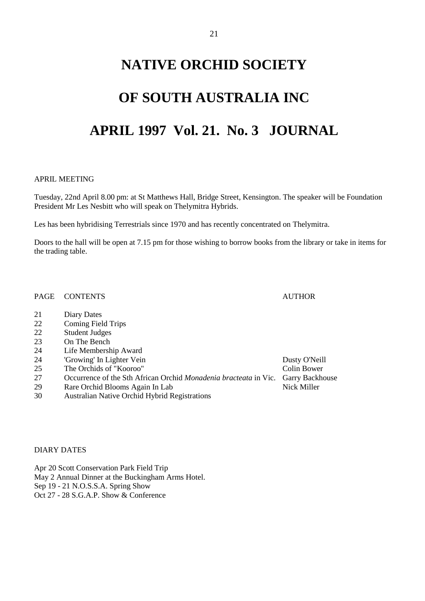## **NATIVE ORCHID SOCIETY**

## **OF SOUTH AUSTRALIA INC**

## **APRIL 1997 Vol. 21. No. 3 JOURNAL**

#### APRIL MEETING

Tuesday, 22nd April 8.00 pm: at St Matthews Hall, Bridge Street, Kensington. The speaker will be Foundation President Mr Les Nesbitt who will speak on Thelymitra Hybrids.

Les has been hybridising Terrestrials since 1970 and has recently concentrated on Thelymitra.

Doors to the hall will be open at 7.15 pm for those wishing to borrow books from the library or take in items for the trading table.

PAGE CONTENTS AUTHOR

- 21 Diary Dates
- 22 Coming Field Trips<br>22 Student Judges
- Student Judges
- 23 On The Bench
- 24 Life Membership Award
- 24 'Growing' In Lighter Vein Dusty O'Neill
- 25 The Orchids of "Kooroo" Colin Bower
- 27 Occurrence of the Sth African Orchid *Monadenia bracteata* in Vic. Garry Backhouse
- 29 Rare Orchid Blooms Again In Lab Nick Miller
- 30 Australian Native Orchid Hybrid Registrations

DIARY DATES

Apr 20 Scott Conservation Park Field Trip May 2 Annual Dinner at the Buckingham Arms Hotel. Sep 19 - 21 N.O.S.S.A. Spring Show Oct 27 - 28 S.G.A.P. Show & Conference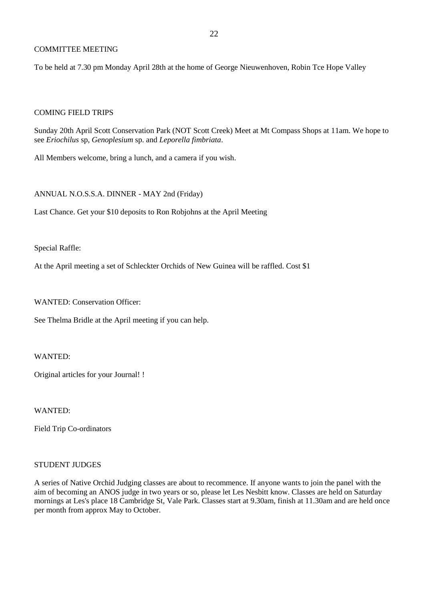#### COMMITTEE MEETING

To be held at 7.30 pm Monday April 28th at the home of George Nieuwenhoven, Robin Tce Hope Valley

#### COMING FIELD TRIPS

Sunday 20th April Scott Conservation Park (NOT Scott Creek) Meet at Mt Compass Shops at 11am. We hope to see *Eriochilus* sp, *Genoplesium* sp. and *Leporella fimbriata*.

All Members welcome, bring a lunch, and a camera if you wish.

#### ANNUAL N.O.S.S.A. DINNER - MAY 2nd (Friday)

Last Chance. Get your \$10 deposits to Ron Robjohns at the April Meeting

Special Raffle:

At the April meeting a set of Schleckter Orchids of New Guinea will be raffled. Cost \$1

WANTED: Conservation Officer:

See Thelma Bridle at the April meeting if you can help.

WANTED:

Original articles for your Journal! !

WANTED:

Field Trip Co-ordinators

#### STUDENT JUDGES

A series of Native Orchid Judging classes are about to recommence. If anyone wants to join the panel with the aim of becoming an ANOS judge in two years or so, please let Les Nesbitt know. Classes are held on Saturday mornings at Les's place 18 Cambridge St, Vale Park. Classes start at 9.30am, finish at 11.30am and are held once per month from approx May to October.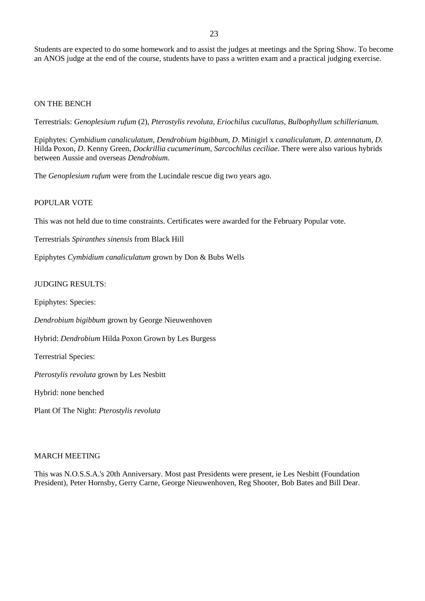Students are expected to do some homework and to assist the judges at meetings and the Spring Show. To become an ANOS judge at the end of the course, students have to pass a written exam and a practical judging exercise.

#### ON THE BENCH

Terrestrials: *Genoplesium rufum* (2), *Pterostylis revoluta*, *Eriochilus cucullatus, Bulbophyllum schillerianum.*

Epiphytes: *Cymbidium canaliculatum, Dendrobium bigibbum, D*. Minigirl x *canaliculatum*, *D. antennatum*, *D*. Hilda Poxon, *D*. Kenny Green, *Dockrillia cucumerinum*, *Sarcochilus ceciliae*. There were also various hybrids between Aussie and overseas *Dendrobium*.

The *Genoplesium rufum* were from the Lucindale rescue dig two years ago.

#### POPULAR VOTE

This was not held due to time constraints. Certificates were awarded for the February Popular vote.

Terrestrials *Spiranthes sinensis* from Black Hill

Epiphytes *Cymbidium canaliculatum* grown by Don & Bubs Wells

#### JUDGING RESULTS:

Epiphytes: Species:

*Dendrobium bigibbum* grown by George Nieuwenhoven

Hybrid: *Dendrobium* Hilda Poxon Grown by Les Burgess

Terrestrial Species:

*Pterostylis revoluta* grown by Les Nesbitt

Hybrid: none benched

Plant Of The Night: *Pterostylis revoluta*

#### MARCH MEETING

This was N.O.S.S.A.'s 20th Anniversary. Most past Presidents were present, ie Les Nesbitt (Foundation President), Peter Hornsby, Gerry Carne, George Nieuwenhoven, Reg Shooter, Bob Bates and Bill Dear.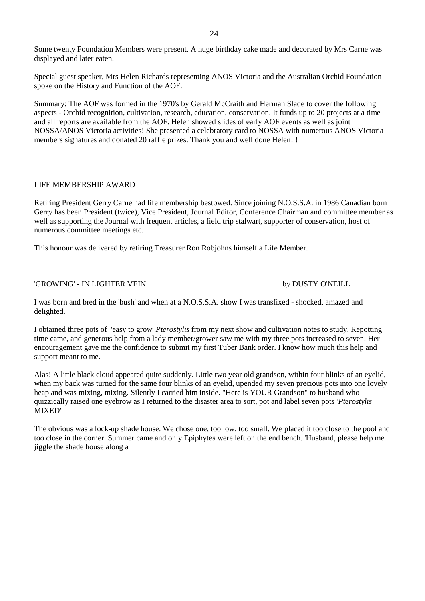Special guest speaker, Mrs Helen Richards representing ANOS Victoria and the Australian Orchid Foundation spoke on the History and Function of the AOF.

Summary: The AOF was formed in the 1970's by Gerald McCraith and Herman Slade to cover the following aspects - Orchid recognition, cultivation, research, education, conservation. It funds up to 20 projects at a time and all reports are available from the AOF. Helen showed slides of early AOF events as well as joint NOSSA/ANOS Victoria activities! She presented a celebratory card to NOSSA with numerous ANOS Victoria members signatures and donated 20 raffle prizes. Thank you and well done Helen! !

### LIFE MEMBERSHIP AWARD

Retiring President Gerry Carne had life membership bestowed. Since joining N.O.S.S.A. in 1986 Canadian born Gerry has been President (twice), Vice President, Journal Editor, Conference Chairman and committee member as well as supporting the Journal with frequent articles, a field trip stalwart, supporter of conservation, host of numerous committee meetings etc.

This honour was delivered by retiring Treasurer Ron Robjohns himself a Life Member.

### 'GROWING' - IN LIGHTER VEIN by DUSTY O'NEILL

I was born and bred in the 'bush' and when at a N.O.S.S.A. show I was transfixed - shocked, amazed and delighted.

I obtained three pots of 'easy to grow' *Pterostylis* from my next show and cultivation notes to study. Repotting time came, and generous help from a lady member/grower saw me with my three pots increased to seven. Her encouragement gave me the confidence to submit my first Tuber Bank order. I know how much this help and support meant to me.

Alas! A little black cloud appeared quite suddenly. Little two year old grandson, within four blinks of an eyelid, when my back was turned for the same four blinks of an eyelid, upended my seven precious pots into one lovely heap and was mixing, mixing. Silently I carried him inside. "Here is YOUR Grandson" to husband who quizzically raised one eyebrow as I returned to the disaster area to sort, pot and label seven pots *'Pterostylis* MIXED'

The obvious was a lock-up shade house. We chose one, too low, too small. We placed it too close to the pool and too close in the corner. Summer came and only Epiphytes were left on the end bench. 'Husband, please help me jiggle the shade house along a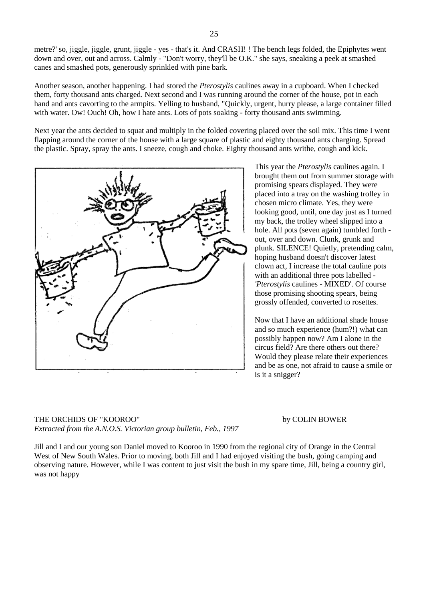metre?' so, jiggle, jiggle, grunt, jiggle - yes - that's it. And CRASH! ! The bench legs folded, the Epiphytes went down and over, out and across. Calmly - "Don't worry, they'll be O.K." she says, sneaking a peek at smashed canes and smashed pots, generously sprinkled with pine bark.

Another season, another happening. I had stored the *Pterostylis* caulines away in a cupboard. When I checked them, forty thousand ants charged. Next second and I was running around the corner of the house, pot in each hand and ants cavorting to the armpits. Yelling to husband, "Quickly, urgent, hurry please, a large container filled with water. Ow! Ouch! Oh, how I hate ants. Lots of pots soaking - forty thousand ants swimming.

Next year the ants decided to squat and multiply in the folded covering placed over the soil mix. This time I went flapping around the corner of the house with a large square of plastic and eighty thousand ants charging. Spread the plastic. Spray, spray the ants. I sneeze, cough and choke. Eighty thousand ants writhe, cough and kick.



This year the *Pterostylis* caulines again. I brought them out from summer storage with promising spears displayed. They were placed into a tray on the washing trolley in chosen micro climate. Yes, they were looking good, until, one day just as I turned my back, the trolley wheel slipped into a hole. All pots (seven again) tumbled forth out, over and down. Clunk, grunk and plunk. SILENCE! Quietly, pretending calm, hoping husband doesn't discover latest clown act, I increase the total cauline pots with an additional three pots labelled - *'Pterostylis* caulines - MIXED'. Of course those promising shooting spears, being grossly offended, converted to rosettes.

Now that I have an additional shade house and so much experience (hum?!) what can possibly happen now? Am I alone in the circus field? Are there others out there? Would they please relate their experiences and be as one, not afraid to cause a smile or is it a snigger?

THE ORCHIDS OF "KOOROO" by COLIN BOWER *Extracted from the A.N.O.S. Victorian group bulletin, Feb., 1997*

Jill and I and our young son Daniel moved to Kooroo in 1990 from the regional city of Orange in the Central West of New South Wales. Prior to moving, both Jill and I had enjoyed visiting the bush, going camping and observing nature. However, while I was content to just visit the bush in my spare time, Jill, being a country girl, was not happy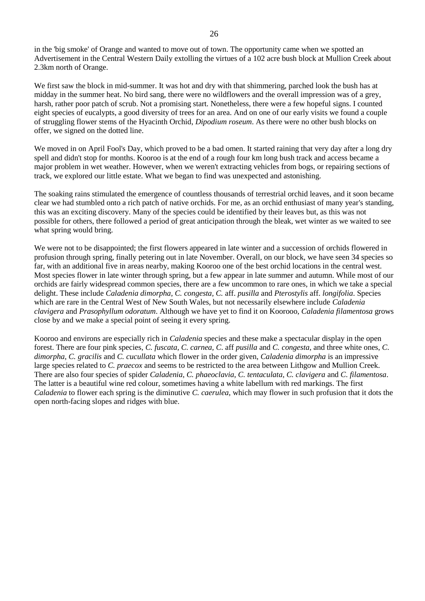in the 'big smoke' of Orange and wanted to move out of town. The opportunity came when we spotted an Advertisement in the Central Western Daily extolling the virtues of a 102 acre bush block at Mullion Creek about 2.3km north of Orange.

We first saw the block in mid-summer. It was hot and dry with that shimmering, parched look the bush has at midday in the summer heat. No bird sang, there were no wildflowers and the overall impression was of a grey, harsh, rather poor patch of scrub. Not a promising start. Nonetheless, there were a few hopeful signs. I counted eight species of eucalypts, a good diversity of trees for an area. And on one of our early visits we found a couple of struggling flower stems of the Hyacinth Orchid, *Dipodium roseum*. As there were no other bush blocks on offer, we signed on the dotted line.

We moved in on April Fool's Day, which proved to be a bad omen. It started raining that very day after a long dry spell and didn't stop for months. Kooroo is at the end of a rough four km long bush track and access became a major problem in wet weather. However, when we weren't extracting vehicles from bogs, or repairing sections of track, we explored our little estate. What we began to find was unexpected and astonishing.

The soaking rains stimulated the emergence of countless thousands of terrestrial orchid leaves, and it soon became clear we had stumbled onto a rich patch of native orchids. For me, as an orchid enthusiast of many year's standing, this was an exciting discovery. Many of the species could be identified by their leaves but, as this was not possible for others, there followed a period of great anticipation through the bleak, wet winter as we waited to see what spring would bring.

We were not to be disappointed; the first flowers appeared in late winter and a succession of orchids flowered in profusion through spring, finally petering out in late November. Overall, on our block, we have seen 34 species so far, with an additional five in areas nearby, making Kooroo one of the best orchid locations in the central west. Most species flower in late winter through spring, but a few appear in late summer and autumn. While most of our orchids are fairly widespread common species, there are a few uncommon to rare ones, in which we take a special delight. These include *Caladenia dimorpha, C. congesta, C.* aff. *pusilla* and *Pterostylis* aff. *longifolia*. Species which are rare in the Central West of New South Wales, but not necessarily elsewhere include *Caladenia clavigera* and *Prasophyllum odoratum*. Although we have yet to find it on Koorooo, *Caladenia filamentosa* grows close by and we make a special point of seeing it every spring.

Kooroo and environs are especially rich in *Caladenia* species and these make a spectacular display in the open forest. There are four pink species, *C. fuscata, C. carnea, C*. aff *pusilla* and *C. congesta*, and three white ones, *C*. *dimorpha, C. gracilis* and *C. cucullata* which flower in the order given, *Caladenia dimorpha* is an impressive large species related to *C. praecox* and seems to be restricted to the area between Lithgow and Mullion Creek. There are also four species of spider *Caladenia*, *C. phaeoclavia*, *C. tentaculata, C. clavigera* and *C*. *filamentosa*. The latter is a beautiful wine red colour, sometimes having a white labellum with red markings. The first *Caladenia* to flower each spring is the diminutive *C. caerulea*, which may flower in such profusion that it dots the open north-facing slopes and ridges with blue.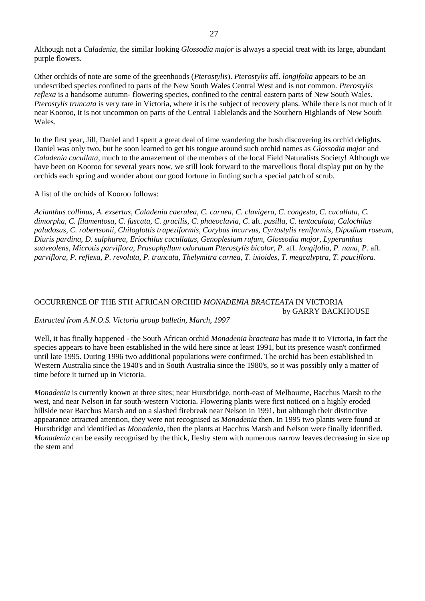Although not a *Caladenia*, the similar looking *Glossodia major* is always a special treat with its large, abundant purple flowers.

Other orchids of note are some of the greenhoods (*Pterostylis*). *Pterostylis* aff. *longifolia* appears to be an undescribed species confined to parts of the New South Wales Central West and is not common. *Pterostylis reflexa* is a handsome autumn- flowering species, confined to the central eastern parts of New South Wales. *Pterostylis truncata* is very rare in Victoria, where it is the subject of recovery plans. While there is not much of it near Kooroo, it is not uncommon on parts of the Central Tablelands and the Southern Highlands of New South Wales.

In the first year, Jill, Daniel and I spent a great deal of time wandering the bush discovering its orchid delights. Daniel was only two, but he soon learned to get his tongue around such orchid names as *Glossodia major* and *Caladenia cucullata*, much to the amazement of the members of the local Field Naturalists Society! Although we have been on Kooroo for several years now, we still look forward to the marvellous floral display put on by the orchids each spring and wonder about our good fortune in finding such a special patch of scrub.

#### A list of the orchids of Kooroo follows:

*Acianthus collinus, A. exsertus, Caladenia caerulea, C. carnea, C. clavigera, C. congesta, C. cucullata, C. dimorpha, C. filamentosa, C. fuscata, C. gracilis, C. phaeoclavia, C*. aft. *pusilla, C. tentaculata, Calochilus paludosus, C. robertsonii, Chiloglottis trapeziformis, Corybas incurvus, Cyrtostylis reniformis, Dipodium roseum, Diuris pardina, D. sulphurea, Eriochilus cucullatus, Genoplesium rufum, Glossodia major, Lyperanthus suaveolens, Microtis parviflora, Prasophyllum odoratum Pterostylis bicolor, P.* aff. *longifolia, P. nana, P.* aff*. parviflora, P. reflexa, P. revoluta, P. truncata, Thelymitra carnea, T. ixioides, T. megcalyptra, T. pauciflora*.

#### OCCURRENCE OF THE STH AFRICAN ORCHID *MONADENIA BRACTEATA* IN VICTORIA by GARRY BACKHOUSE

### *Extracted from A.N.O.S. Victoria group bulletin, March, 1997*

Well, it has finally happened - the South African orchid *Monadenia bracteata* has made it to Victoria, in fact the species appears to have been established in the wild here since at least 1991, but its presence wasn't confirmed until late 1995. During 1996 two additional populations were confirmed. The orchid has been established in Western Australia since the 1940's and in South Australia since the 1980's, so it was possibly only a matter of time before it turned up in Victoria.

*Monadenia* is currently known at three sites; near Hurstbridge, north-east of Melbourne, Bacchus Marsh to the west, and near Nelson in far south-western Victoria. Flowering plants were first noticed on a highly eroded hillside near Bacchus Marsh and on a slashed firebreak near Nelson in 1991, but although their distinctive appearance attracted attention, they were not recognised as *Monadenia* then. In 1995 two plants were found at Hurstbridge and identified as *Monadenia*, then the plants at Bacchus Marsh and Nelson were finally identified. *Monadenia* can be easily recognised by the thick, fleshy stem with numerous narrow leaves decreasing in size up the stem and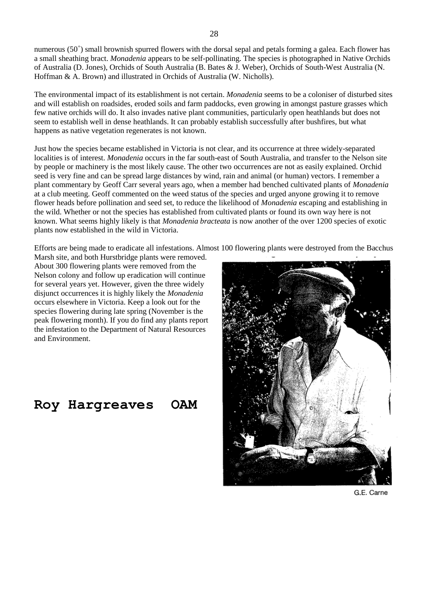numerous  $(50^+)$  small brownish spurred flowers with the dorsal sepal and petals forming a galea. Each flower has a small sheathing bract. *Monadenia* appears to be self-pollinating. The species is photographed in Native Orchids of Australia (D. Jones), Orchids of South Australia (B. Bates & J. Weber), Orchids of South-West Australia (N. Hoffman & A. Brown) and illustrated in Orchids of Australia (W. Nicholls).

The environmental impact of its establishment is not certain. *Monadenia* seems to be a coloniser of disturbed sites and will establish on roadsides, eroded soils and farm paddocks, even growing in amongst pasture grasses which few native orchids will do. It also invades native plant communities, particularly open heathlands but does not seem to establish well in dense heathlands. It can probably establish successfully after bushfires, but what happens as native vegetation regenerates is not known.

Just how the species became established in Victoria is not clear, and its occurrence at three widely-separated localities is of interest. *Monadenia* occurs in the far south-east of South Australia, and transfer to the Nelson site by people or machinery is the most likely cause. The other two occurrences are not as easily explained. Orchid seed is very fine and can be spread large distances by wind, rain and animal (or human) vectors. I remember a plant commentary by Geoff Carr several years ago, when a member had benched cultivated plants of *Monadenia* at a club meeting. Geoff commented on the weed status of the species and urged anyone growing it to remove flower heads before pollination and seed set, to reduce the likelihood of *Monadenia* escaping and establishing in the wild. Whether or not the species has established from cultivated plants or found its own way here is not known. What seems highly likely is that *Monadenia bracteata* is now another of the over 1200 species of exotic plants now established in the wild in Victoria.

Efforts are being made to eradicate all infestations. Almost 100 flowering plants were destroyed from the Bacchus

Marsh site, and both Hurstbridge plants were removed. About 300 flowering plants were removed from the Nelson colony and follow up eradication will continue for several years yet. However, given the three widely disjunct occurrences it is highly likely the *Monadenia* occurs elsewhere in Victoria. Keep a look out for the species flowering during late spring (November is the peak flowering month). If you do find any plants report the infestation to the Department of Natural Resources and Environment.

**Roy Hargreaves OAM**



G.E. Carne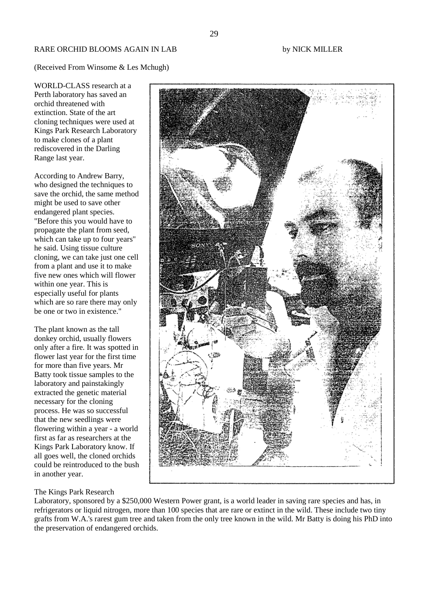(Received From Winsome & Les Mchugh)

WORLD-CLASS research at a Perth laboratory has saved an orchid threatened with extinction. State of the art cloning techniques were used at Kings Park Research Laboratory to make clones of a plant rediscovered in the Darling Range last year.

According to Andrew Barry, who designed the techniques to save the orchid, the same method might be used to save other endangered plant species. "Before this you would have to propagate the plant from seed, which can take up to four years" he said. Using tissue culture cloning, we can take just one cell from a plant and use it to make five new ones which will flower within one year. This is especially useful for plants which are so rare there may only be one or two in existence."

The plant known as the tall donkey orchid, usually flowers only after a fire. It was spotted in flower last year for the first time for more than five years. Mr Batty took tissue samples to the laboratory and painstakingly extracted the genetic material necessary for the cloning process. He was so successful that the new seedlings were flowering within a year - a world first as far as researchers at the Kings Park Laboratory know. If all goes well, the cloned orchids could be reintroduced to the bush in another year.



#### The Kings Park Research

Laboratory, sponsored by a \$250,000 Western Power grant, is a world leader in saving rare species and has, in refrigerators or liquid nitrogen, more than 100 species that are rare or extinct in the wild. These include two tiny grafts from W.A.'s rarest gum tree and taken from the only tree known in the wild. Mr Batty is doing his PhD into the preservation of endangered orchids.